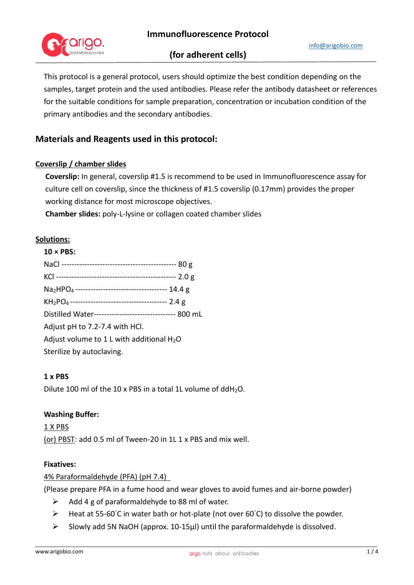

# **(for adherent cells)**

This protocol is a general protocol, users should optimize the best condition depending on the samples, target protein and the used antibodies. Please refer the antibody datasheet or references for the suitable conditions for sample preparation, concentration or incubation condition of the primary antibodies and the secondary antibodies.

# **Materials and Reagents used in this protocol:**

## **Coverslip / chamber slides**

**Coverslip:** In general, coverslip #1.5 is recommend to be used in Immunofluorescence assay for culture cell on coverslip, since the thickness of #1.5 coverslip (0.17mm) provides the proper working distance for most microscope objectives.

**Chamber slides:** poly-L-lysine or collagen coated chamber slides

## **Solutions:**

**10 × PBS:** 

| 10 X PBS:                                             |  |
|-------------------------------------------------------|--|
|                                                       |  |
|                                                       |  |
|                                                       |  |
|                                                       |  |
| Distilled Water------------------------------- 800 mL |  |
| Adjust pH to 7.2-7.4 with HCl.                        |  |
| Adjust volume to $1 L$ with additional $H_2O$         |  |
| Sterilize by autoclaving.                             |  |

### **1 x PBS**

Dilute 100 ml of the 10 x PBS in a total 1L volume of ddH<sub>2</sub>O.

### **Washing Buffer:**

1 X PBS (or) PBST: add 0.5 ml of Tween-20 in 1L 1 x PBS and mix well.

#### **Fixatives:**

### 4% Paraformaldehyde (PFA) (pH 7.4)

(Please prepare PFA in a fume hood and wear gloves to avoid fumes and air-borne powder)

- $\triangleright$  Add 4 g of paraformaldehyde to 88 ml of water.
- $\triangleright$  Heat at 55-60°C in water bath or hot-plate (not over 60°C) to dissolve the powder.
- $\triangleright$  Slowly add 5N NaOH (approx. 10-15µl) until the paraformaldehyde is dissolved.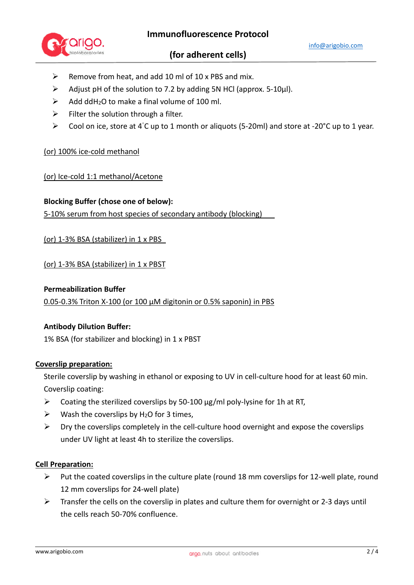

## **(for adherent cells)**

- $\triangleright$  Remove from heat, and add 10 ml of 10 x PBS and mix.
- $\triangleright$  Adjust pH of the solution to 7.2 by adding 5N HCl (approx. 5-10µl).
- $\triangleright$  Add ddH<sub>2</sub>O to make a final volume of 100 ml.
- $\triangleright$  Filter the solution through a filter.
- $\triangleright$  Cool on ice, store at 4°C up to 1 month or aliquots (5-20ml) and store at -20°C up to 1 year.

### (or) 100% ice-cold methanol

### (or) Ice-cold 1:1 methanol/Acetone

**Blocking Buffer (chose one of below):** 

5-10% serum from host species of secondary antibody (blocking)

(or) 1-3% BSA (stabilizer) in 1 x PBS

(or) 1-3% BSA (stabilizer) in 1 x PBST

#### **Permeabilization Buffer**

0.05-0.3% Triton X-100 (or 100 μM digitonin or 0.5% saponin) in PBS

### **Antibody Dilution Buffer:**

1% BSA (for stabilizer and blocking) in 1 x PBST

### **Coverslip preparation:**

Sterile coverslip by washing in ethanol or exposing to UV in cell-culture hood for at least 60 min. Coverslip coating:

- $\triangleright$  Coating the sterilized coverslips by 50-100  $\mu$ g/ml poly-lysine for 1h at RT,
- $\triangleright$  Wash the coverslips by H<sub>2</sub>O for 3 times,
- $\triangleright$  Dry the coverslips completely in the cell-culture hood overnight and expose the coverslips under UV light at least 4h to sterilize the coverslips.

### **Cell Preparation:**

- $\triangleright$  Put the coated coverslips in the culture plate (round 18 mm coverslips for 12-well plate, round 12 mm coverslips for 24-well plate)
- $\triangleright$  Transfer the cells on the coverslip in plates and culture them for overnight or 2-3 days until the cells reach 50-70% confluence.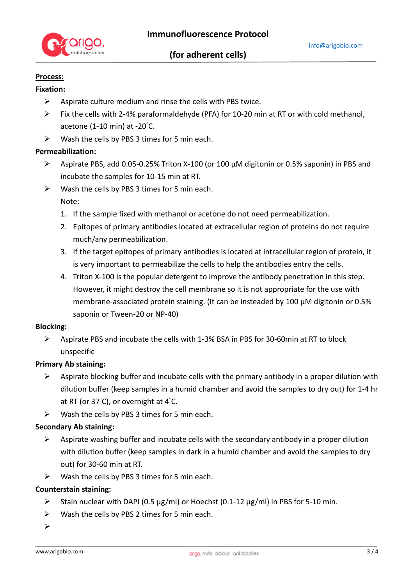

# **Process:**

## **Fixation:**

- $\triangleright$  Aspirate culture medium and rinse the cells with PBS twice.
- $\triangleright$  Fix the cells with 2-4% paraformaldehyde (PFA) for 10-20 min at RT or with cold methanol, acetone (1-10 min) at -20°C.
- $\triangleright$  Wash the cells by PBS 3 times for 5 min each.

### **Permeabilization:**

- $\triangleright$  Aspirate PBS, add 0.05-0.25% Triton X-100 (or 100  $\mu$ M digitonin or 0.5% saponin) in PBS and incubate the samples for 10-15 min at RT.
- $\triangleright$  Wash the cells by PBS 3 times for 5 min each.

Note:

- 1. If the sample fixed with methanol or acetone do not need permeabilization.
- 2. Epitopes of primary antibodies located at extracellular region of proteins do not require much/any permeabilization.
- 3. If the target epitopes of primary antibodies is located at intracellular region of protein, it is very important to permeabilize the cells to help the antibodies entry the cells.
- 4. Triton X-100 is the popular detergent to improve the antibody penetration in this step. However, it might destroy the cell membrane so it is not appropriate for the use with membrane-associated protein staining. (It can be insteaded by 100 μM digitonin or 0.5% saponin or Tween-20 or NP-40)

#### **Blocking:**

 $\triangleright$  Aspirate PBS and incubate the cells with 1-3% BSA in PBS for 30-60min at RT to block unspecific

### **Primary Ab staining:**

- Aspirate blocking buffer and incubate cells with the primary antibody in a proper dilution with dilution buffer (keep samples in a humid chamber and avoid the samples to dry out) for 1-4 hr at RT (or 37°C), or overnight at 4°C.
- $\triangleright$  Wash the cells by PBS 3 times for 5 min each.

### **Secondary Ab staining:**

- $\triangleright$  Aspirate washing buffer and incubate cells with the secondary antibody in a proper dilution with dilution buffer (keep samples in dark in a humid chamber and avoid the samples to dry out) for 30-60 min at RT.
- $\triangleright$  Wash the cells by PBS 3 times for 5 min each.

### **Counterstain staining:**

- Stain nuclear with DAPI (0.5  $\mu$ g/ml) or Hoechst (0.1-12  $\mu$ g/ml) in PBS for 5-10 min.
- $\triangleright$  Wash the cells by PBS 2 times for 5 min each.
- $\blacktriangleright$